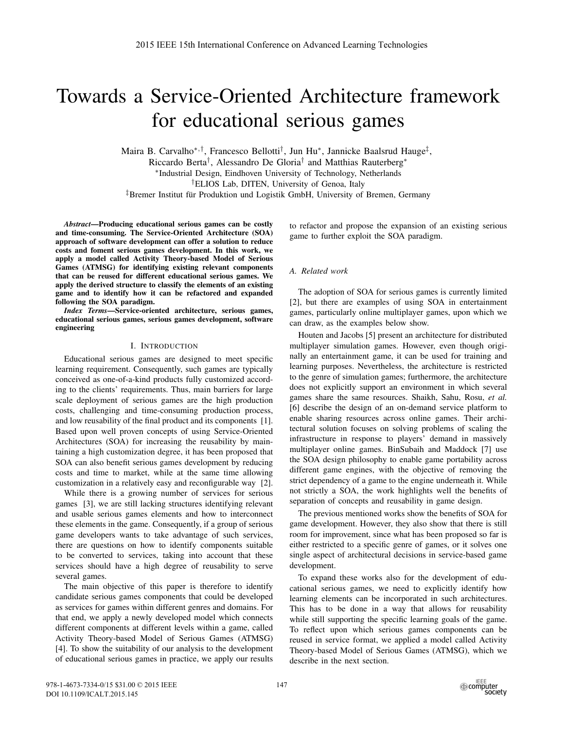# Towards a Service-Oriented Architecture framework for educational serious games

Maira B. Carvalho∗,†, Francesco Bellotti†, Jun Hu∗, Jannicke Baalsrud Hauge‡, Riccardo Berta†, Alessandro De Gloria† and Matthias Rauterberg<sup>∗</sup> <sup>∗</sup>Industrial Design, Eindhoven University of Technology, Netherlands

†ELIOS Lab, DITEN, University of Genoa, Italy

<sup>‡</sup>Bremer Institut für Produktion und Logistik GmbH, University of Bremen, Germany

*Abstract*—Producing educational serious games can be costly and time-consuming. The Service-Oriented Architecture (SOA) approach of software development can offer a solution to reduce costs and foment serious games development. In this work, we apply a model called Activity Theory-based Model of Serious Games (ATMSG) for identifying existing relevant components that can be reused for different educational serious games. We apply the derived structure to classify the elements of an existing game and to identify how it can be refactored and expanded following the SOA paradigm.

*Index Terms*—Service-oriented architecture, serious games, educational serious games, serious games development, software engineering

## I. INTRODUCTION

Educational serious games are designed to meet specific learning requirement. Consequently, such games are typically conceived as one-of-a-kind products fully customized according to the clients' requirements. Thus, main barriers for large scale deployment of serious games are the high production costs, challenging and time-consuming production process, and low reusability of the final product and its components [1]. Based upon well proven concepts of using Service-Oriented Architectures (SOA) for increasing the reusability by maintaining a high customization degree, it has been proposed that SOA can also benefit serious games development by reducing costs and time to market, while at the same time allowing customization in a relatively easy and reconfigurable way [2].

While there is a growing number of services for serious games [3], we are still lacking structures identifying relevant and usable serious games elements and how to interconnect these elements in the game. Consequently, if a group of serious game developers wants to take advantage of such services, there are questions on how to identify components suitable to be converted to services, taking into account that these services should have a high degree of reusability to serve several games.

The main objective of this paper is therefore to identify candidate serious games components that could be developed as services for games within different genres and domains. For that end, we apply a newly developed model which connects different components at different levels within a game, called Activity Theory-based Model of Serious Games (ATMSG) [4]. To show the suitability of our analysis to the development of educational serious games in practice, we apply our results to refactor and propose the expansion of an existing serious game to further exploit the SOA paradigm.

#### *A. Related work*

The adoption of SOA for serious games is currently limited [2], but there are examples of using SOA in entertainment games, particularly online multiplayer games, upon which we can draw, as the examples below show.

Houten and Jacobs [5] present an architecture for distributed multiplayer simulation games. However, even though originally an entertainment game, it can be used for training and learning purposes. Nevertheless, the architecture is restricted to the genre of simulation games; furthermore, the architecture does not explicitly support an environment in which several games share the same resources. Shaikh, Sahu, Rosu, *et al.* [6] describe the design of an on-demand service platform to enable sharing resources across online games. Their architectural solution focuses on solving problems of scaling the infrastructure in response to players' demand in massively multiplayer online games. BinSubaih and Maddock [7] use the SOA design philosophy to enable game portability across different game engines, with the objective of removing the strict dependency of a game to the engine underneath it. While not strictly a SOA, the work highlights well the benefits of separation of concepts and reusability in game design.

The previous mentioned works show the benefits of SOA for game development. However, they also show that there is still room for improvement, since what has been proposed so far is either restricted to a specific genre of games, or it solves one single aspect of architectural decisions in service-based game development.

To expand these works also for the development of educational serious games, we need to explicitly identify how learning elements can be incorporated in such architectures. This has to be done in a way that allows for reusability while still supporting the specific learning goals of the game. To reflect upon which serious games components can be reused in service format, we applied a model called Activity Theory-based Model of Serious Games (ATMSG), which we describe in the next section.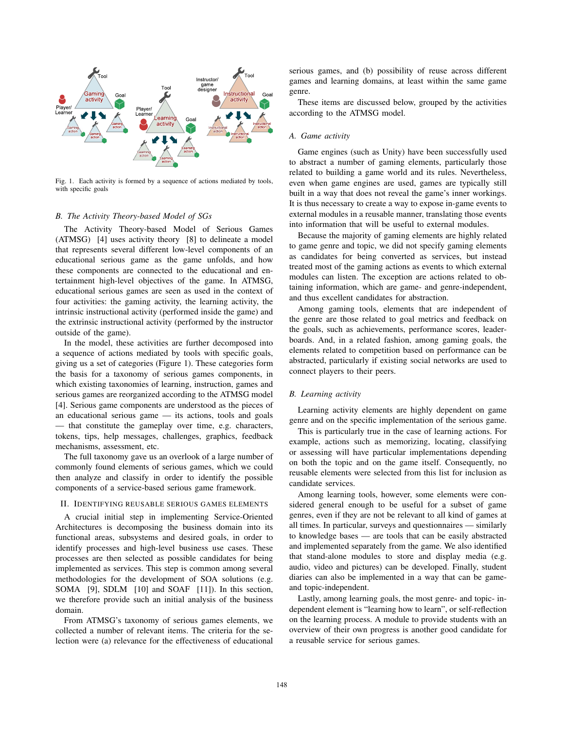

Fig. 1. Each activity is formed by a sequence of actions mediated by tools, with specific goals

#### *B. The Activity Theory-based Model of SGs*

The Activity Theory-based Model of Serious Games (ATMSG) [4] uses activity theory [8] to delineate a model that represents several different low-level components of an educational serious game as the game unfolds, and how these components are connected to the educational and entertainment high-level objectives of the game. In ATMSG, educational serious games are seen as used in the context of four activities: the gaming activity, the learning activity, the intrinsic instructional activity (performed inside the game) and the extrinsic instructional activity (performed by the instructor outside of the game).

In the model, these activities are further decomposed into a sequence of actions mediated by tools with specific goals, giving us a set of categories (Figure 1). These categories form the basis for a taxonomy of serious games components, in which existing taxonomies of learning, instruction, games and serious games are reorganized according to the ATMSG model [4]. Serious game components are understood as the pieces of an educational serious game — its actions, tools and goals — that constitute the gameplay over time, e.g. characters, tokens, tips, help messages, challenges, graphics, feedback mechanisms, assessment, etc.

The full taxonomy gave us an overlook of a large number of commonly found elements of serious games, which we could then analyze and classify in order to identify the possible components of a service-based serious game framework.

### II. IDENTIFYING REUSABLE SERIOUS GAMES ELEMENTS

A crucial initial step in implementing Service-Oriented Architectures is decomposing the business domain into its functional areas, subsystems and desired goals, in order to identify processes and high-level business use cases. These processes are then selected as possible candidates for being implemented as services. This step is common among several methodologies for the development of SOA solutions (e.g. SOMA [9], SDLM [10] and SOAF [11]). In this section, we therefore provide such an initial analysis of the business domain.

From ATMSG's taxonomy of serious games elements, we collected a number of relevant items. The criteria for the selection were (a) relevance for the effectiveness of educational

serious games, and (b) possibility of reuse across different games and learning domains, at least within the same game genre.

These items are discussed below, grouped by the activities according to the ATMSG model.

#### *A. Game activity*

Game engines (such as Unity) have been successfully used to abstract a number of gaming elements, particularly those related to building a game world and its rules. Nevertheless, even when game engines are used, games are typically still built in a way that does not reveal the game's inner workings. It is thus necessary to create a way to expose in-game events to external modules in a reusable manner, translating those events into information that will be useful to external modules.

Because the majority of gaming elements are highly related to game genre and topic, we did not specify gaming elements as candidates for being converted as services, but instead treated most of the gaming actions as events to which external modules can listen. The exception are actions related to obtaining information, which are game- and genre-independent, and thus excellent candidates for abstraction.

Among gaming tools, elements that are independent of the genre are those related to goal metrics and feedback on the goals, such as achievements, performance scores, leaderboards. And, in a related fashion, among gaming goals, the elements related to competition based on performance can be abstracted, particularly if existing social networks are used to connect players to their peers.

# *B. Learning activity*

Learning activity elements are highly dependent on game genre and on the specific implementation of the serious game.

This is particularly true in the case of learning actions. For example, actions such as memorizing, locating, classifying or assessing will have particular implementations depending on both the topic and on the game itself. Consequently, no reusable elements were selected from this list for inclusion as candidate services.

Among learning tools, however, some elements were considered general enough to be useful for a subset of game genres, even if they are not be relevant to all kind of games at all times. In particular, surveys and questionnaires — similarly to knowledge bases — are tools that can be easily abstracted and implemented separately from the game. We also identified that stand-alone modules to store and display media (e.g. audio, video and pictures) can be developed. Finally, student diaries can also be implemented in a way that can be gameand topic-independent.

Lastly, among learning goals, the most genre- and topic- independent element is "learning how to learn", or self-reflection on the learning process. A module to provide students with an overview of their own progress is another good candidate for a reusable service for serious games.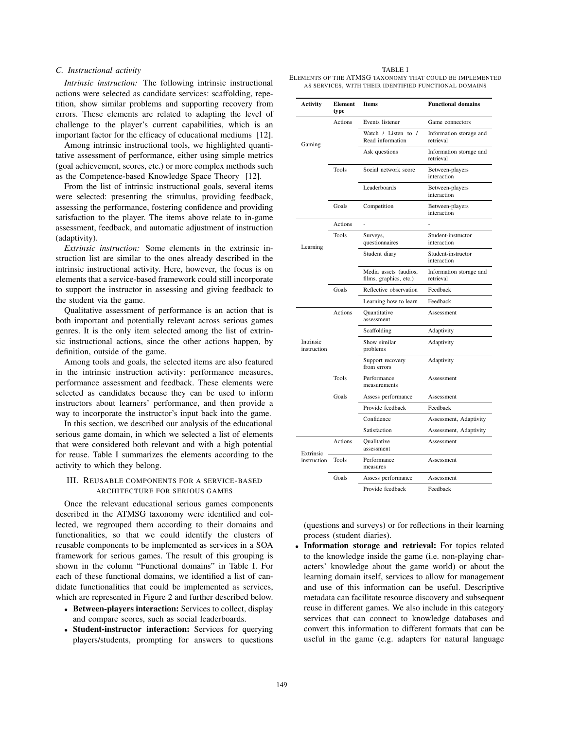## *C. Instructional activity*

*Intrinsic instruction:* The following intrinsic instructional actions were selected as candidate services: scaffolding, repetition, show similar problems and supporting recovery from errors. These elements are related to adapting the level of challenge to the player's current capabilities, which is an important factor for the efficacy of educational mediums [12].

Among intrinsic instructional tools, we highlighted quantitative assessment of performance, either using simple metrics (goal achievement, scores, etc.) or more complex methods such as the Competence-based Knowledge Space Theory [12].

From the list of intrinsic instructional goals, several items were selected: presenting the stimulus, providing feedback, assessing the performance, fostering confidence and providing satisfaction to the player. The items above relate to in-game assessment, feedback, and automatic adjustment of instruction (adaptivity).

*Extrinsic instruction:* Some elements in the extrinsic instruction list are similar to the ones already described in the intrinsic instructional activity. Here, however, the focus is on elements that a service-based framework could still incorporate to support the instructor in assessing and giving feedback to the student via the game.

Qualitative assessment of performance is an action that is both important and potentially relevant across serious games genres. It is the only item selected among the list of extrinsic instructional actions, since the other actions happen, by definition, outside of the game.

Among tools and goals, the selected items are also featured in the intrinsic instruction activity: performance measures, performance assessment and feedback. These elements were selected as candidates because they can be used to inform instructors about learners' performance, and then provide a way to incorporate the instructor's input back into the game.

In this section, we described our analysis of the educational serious game domain, in which we selected a list of elements that were considered both relevant and with a high potential for reuse. Table I summarizes the elements according to the activity to which they belong.

## III. REUSABLE COMPONENTS FOR A SERVICE-BASED ARCHITECTURE FOR SERIOUS GAMES

Once the relevant educational serious games components described in the ATMSG taxonomy were identified and collected, we regrouped them according to their domains and functionalities, so that we could identify the clusters of reusable components to be implemented as services in a SOA framework for serious games. The result of this grouping is shown in the column "Functional domains" in Table I. For each of these functional domains, we identified a list of candidate functionalities that could be implemented as services, which are represented in Figure 2 and further described below.

- Between-players interaction: Services to collect, display and compare scores, such as social leaderboards.
- Student-instructor interaction: Services for querying players/students, prompting for answers to questions

TABLE I ELEMENTS OF THE ATMSG TAXONOMY THAT COULD BE IMPLEMENTED AS SERVICES, WITH THEIR IDENTIFIED FUNCTIONAL DOMAINS

| Activity                 | Element<br>type | <b>Items</b>                                    | <b>Functional domains</b>            |
|--------------------------|-----------------|-------------------------------------------------|--------------------------------------|
| Gaming                   | Actions         | Events listener                                 | Game connectors                      |
|                          |                 | Watch / Listen to /<br>Read information         | Information storage and<br>retrieval |
|                          |                 | Ask questions                                   | Information storage and<br>retrieval |
|                          | <b>Tools</b>    | Social network score                            | Between-players<br>interaction       |
|                          |                 | Leaderboards                                    | Between-players<br>interaction       |
|                          | Goals           | Competition                                     | Between-players<br>interaction       |
| Learning                 | Actions         |                                                 |                                      |
|                          | Tools           | Surveys,<br>questionnaires                      | Student-instructor<br>interaction    |
|                          |                 | Student diary                                   | Student-instructor<br>interaction    |
|                          |                 | Media assets (audios,<br>films, graphics, etc.) | Information storage and<br>retrieval |
|                          | Goals           | Reflective observation                          | Feedback                             |
|                          |                 | Learning how to learn                           | Feedback                             |
| Intrinsic<br>instruction | Actions         | Quantitative<br>assessment                      | Assessment                           |
|                          |                 | Scaffolding                                     | Adaptivity                           |
|                          |                 | Show similar<br>problems                        | Adaptivity                           |
|                          |                 | Support recovery<br>from errors                 | Adaptivity                           |
|                          | <b>Tools</b>    | Performance<br>measurements                     | Assessment                           |
|                          | Goals           | Assess performance                              | Assessment                           |
|                          |                 | Provide feedback                                | Feedback                             |
|                          |                 | Confidence                                      | Assessment, Adaptivity               |
|                          |                 | Satisfaction                                    | Assessment, Adaptivity               |
| Extrinsic<br>instruction | Actions         | Qualitative<br>assessment                       | Assessment                           |
|                          | Tools           | Performance<br>measures                         | Assessment                           |
|                          | Goals           | Assess performance                              | Assessment                           |
|                          |                 | Provide feedback                                | Feedback                             |

(questions and surveys) or for reflections in their learning process (student diaries).

• Information storage and retrieval: For topics related to the knowledge inside the game (i.e. non-playing characters' knowledge about the game world) or about the learning domain itself, services to allow for management and use of this information can be useful. Descriptive metadata can facilitate resource discovery and subsequent reuse in different games. We also include in this category services that can connect to knowledge databases and convert this information to different formats that can be useful in the game (e.g. adapters for natural language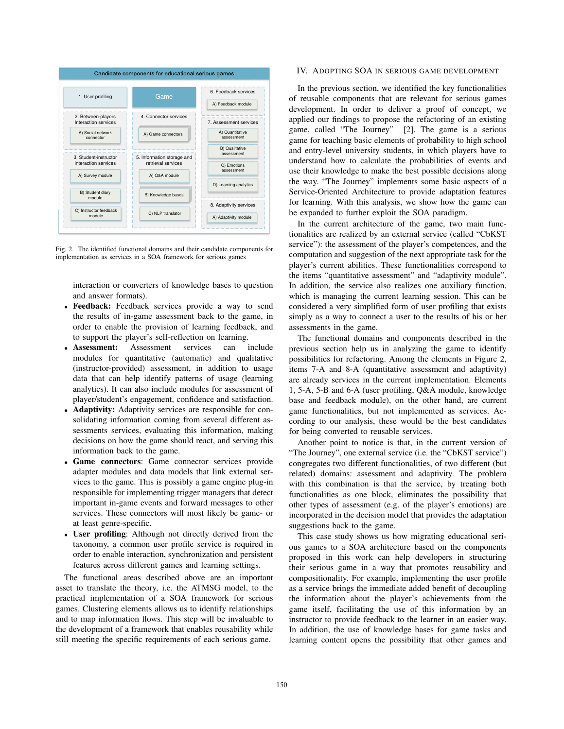

Fig. 2. The identified functional domains and their candidate components for implementation as services in a SOA framework for serious games

interaction or converters of knowledge bases to question and answer formats).

- Feedback: Feedback services provide a way to send the results of in-game assessment back to the game, in order to enable the provision of learning feedback, and to support the player's self-reflection on learning.
- Assessment: Assessment services can include modules for quantitative (automatic) and qualitative (instructor-provided) assessment, in addition to usage data that can help identify patterns of usage (learning analytics). It can also include modules for assessment of player/student's engagement, confidence and satisfaction.
- Adaptivity: Adaptivity services are responsible for consolidating information coming from several different assessments services, evaluating this information, making decisions on how the game should react, and serving this information back to the game.
- Game connectors: Game connector services provide adapter modules and data models that link external services to the game. This is possibly a game engine plug-in responsible for implementing trigger managers that detect important in-game events and forward messages to other services. These connectors will most likely be game- or at least genre-specific.
- User profiling: Although not directly derived from the taxonomy, a common user profile service is required in order to enable interaction, synchronization and persistent features across different games and learning settings.

The functional areas described above are an important asset to translate the theory, i.e. the ATMSG model, to the practical implementation of a SOA framework for serious games. Clustering elements allows us to identify relationships and to map information flows. This step will be invaluable to the development of a framework that enables reusability while still meeting the specific requirements of each serious game.

# IV. ADOPTING SOA IN SERIOUS GAME DEVELOPMENT

In the previous section, we identified the key functionalities of reusable components that are relevant for serious games development. In order to deliver a proof of concept, we applied our findings to propose the refactoring of an existing game, called "The Journey" [2]. The game is a serious game for teaching basic elements of probability to high school and entry-level university students, in which players have to understand how to calculate the probabilities of events and use their knowledge to make the best possible decisions along the way. "The Journey" implements some basic aspects of a Service-Oriented Architecture to provide adaptation features for learning. With this analysis, we show how the game can be expanded to further exploit the SOA paradigm.

In the current architecture of the game, two main functionalities are realized by an external service (called "CbKST service"): the assessment of the player's competences, and the computation and suggestion of the next appropriate task for the player's current abilities. These functionalities correspond to the items "quantitative assessment" and "adaptivity module". In addition, the service also realizes one auxiliary function, which is managing the current learning session. This can be considered a very simplified form of user profiling that exists simply as a way to connect a user to the results of his or her assessments in the game.

The functional domains and components described in the previous section help us in analyzing the game to identify possibilities for refactoring. Among the elements in Figure 2, items 7-A and 8-A (quantitative assessment and adaptivity) are already services in the current implementation. Elements 1, 5-A, 5-B and 6-A (user profiling, Q&A module, knowledge base and feedback module), on the other hand, are current game functionalities, but not implemented as services. According to our analysis, these would be the best candidates for being converted to reusable services.

Another point to notice is that, in the current version of "The Journey", one external service (i.e. the "CbKST service") congregates two different functionalities, of two different (but related) domains: assessment and adaptivity. The problem with this combination is that the service, by treating both functionalities as one block, eliminates the possibility that other types of assessment (e.g. of the player's emotions) are incorporated in the decision model that provides the adaptation suggestions back to the game.

This case study shows us how migrating educational serious games to a SOA architecture based on the components proposed in this work can help developers in structuring their serious game in a way that promotes reusability and compositionality. For example, implementing the user profile as a service brings the immediate added benefit of decoupling the information about the player's achievements from the game itself, facilitating the use of this information by an instructor to provide feedback to the learner in an easier way. In addition, the use of knowledge bases for game tasks and learning content opens the possibility that other games and